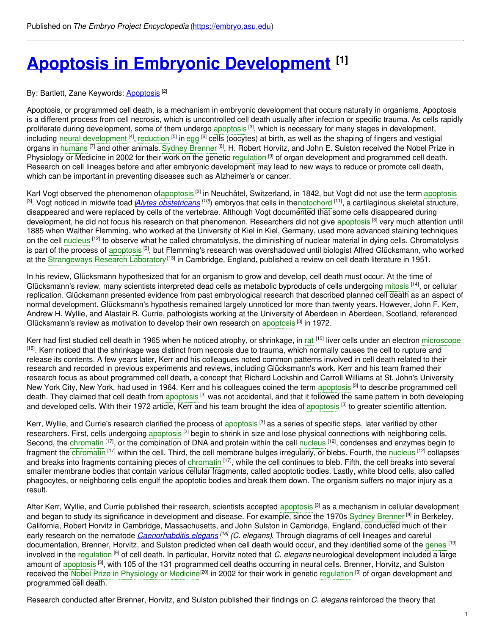# **Apoptosis in Embryonic [Development](https://embryo.asu.edu/pages/apoptosis-embryonic-development) [1]**

By: Bartlett, Zane Keywords: **[Apoptosis](https://embryo.asu.edu/keywords/apoptosis)**<sup>[2]</sup>

Apoptosis, or programmed cell death, is a mechanism in embryonic development that occurs naturally in organisms. Apoptosis is a different process from cell necrosis, which is uncontrolled cell death usually after infection or specific trauma. As cells rapidly proliferate during development, some of them undergo [apoptosis](https://embryo.asu.edu/search?text=apoptosis) [3], which is necessary for many stages in development, including neural [development](https://embryo.asu.edu/search?text=neural%20development) <sup>[4]</sup>, [reduction](https://embryo.asu.edu/search?text=reduction) <sup>[5]</sup> in [egg](https://embryo.asu.edu/search?text=egg) <sup>[6]</sup> cells (oocytes) at birth, as well as the shaping of fingers and vestigial organs in [humans](https://embryo.asu.edu/search?text=humans) <sup>[7]</sup> and other animals. Sydney [Brenner](https://embryo.asu.edu/search?text=Sydney%20Brenner) <sup>[8]</sup>, H. Robert Horvitz, and John E. Sulston received the Nobel Prize in Physiology or Medicine in 2002 for their work on the genetic [regulation](https://embryo.asu.edu/search?text=regulation) <sup>[9]</sup> of organ development and programmed cell death. Research on cell lineages before and after embryonic development may lead to new ways to reduce or promote cell death, which can be important in preventing diseases such as Alzheimer's or cancer.

Karl Vogt observed the phenomenon o[fapoptosis](https://embryo.asu.edu/search?text=apoptosis) <sup>[3]</sup> in Neuchâtel, Switzerland, in 1842, but Vogt did not use the term [apoptosis](https://embryo.asu.edu/search?text=apoptosis) <sup>[3]</sup>. Vogt noticed in midwife toad (Alytes [obstetricans](http://eol.org/pages/330761/overview) <sup>[10]</sup>) embryos that cells in th[enotochord](https://embryo.asu.edu/search?text=notochord) <sup>[11]</sup>, a cartilaginous skeletal structure, disappeared and were replaced by cells of the vertebrae. Although Vogt documented that some cells disappeared during development, he did not focus his research on that phenomenon. Researchers did not give [apoptosis](https://embryo.asu.edu/search?text=apoptosis) <sup>[3]</sup> very much attention until 1885 when Walther Flemming, who worked at the University of Kiel in Kiel, Germany, used more advanced staining techniques on the cell [nucleus](https://embryo.asu.edu/search?text=nucleus) <sup>[12]</sup> to observe what he called chromatolysis, the diminishing of nuclear material in dying cells. Chromatolysis is part of the process of [apoptosis](https://embryo.asu.edu/search?text=apoptosis) <sup>[3]</sup>, but Flemming's research was overshadowed until biologist Alfred Glücksmann, who worked at the [Strangeways](https://embryo.asu.edu/search?text=Strangeways%20Research%20Laboratory) Research Laboratory<sup>[13]</sup> in Cambridge, England, published a review on cell death literature in 1951.

In his review, Glücksmann hypothesized that for an organism to grow and develop, cell death must occur. At the time of Glücksmann's review, many scientists interpreted dead cells as metabolic byproducts of cells undergoing [mitosis](https://embryo.asu.edu/search?text=mitosis) <sup>[14]</sup>, or cellular replication. Glücksmann presented evidence from past embryological research that described planned cell death as an aspect of normal development. Glücksmann's hypothesis remained largely unnoticed for more than twenty years. However, John F. Kerr, Andrew H. Wyllie, and Alastair R. Currie, pathologists working at the University of Aberdeen in Aberdeen, Scotland, referenced Glücksmann's review as motivation to develop their own research on [apoptosis](https://embryo.asu.edu/search?text=apoptosis) <sup>[3]</sup> in 1972.

Kerr had first studied cell death in 1965 when he noticed atrophy, or shrinkage, in [rat](https://embryo.asu.edu/search?text=rat) <sup>[15]</sup> liver cells under an electron [microscope](https://embryo.asu.edu/search?text=microscope) <sup>[16]</sup>. Kerr noticed that the shrinkage was distinct from necrosis due to trauma, which normally causes the cell to rupture and release its contents. A few years later, Kerr and his colleagues noted common patterns involved in cell death related to their research and recorded in previous experiments and reviews, including Glücksmann's work. Kerr and his team framed their research focus as about programmed cell death, a concept that Richard Lockshin and Carroll Williams at St. John's University New York City, New York, had used in 1964. Kerr and his colleagues coined the term [apoptosis](https://embryo.asu.edu/search?text=apoptosis) <sup>[3]</sup> to describe programmed cell death. They claimed that cell death from [apoptosis](https://embryo.asu.edu/search?text=apoptosis) <sup>[3]</sup> was not accidental, and that it followed the same pattern in both developing and developed cells. With their 1972 article, Kerr and his team brought the idea of [apoptosis](https://embryo.asu.edu/search?text=apoptosis)<sup>[3]</sup> to greater scientific attention.

Kerr, Wyllie, and Currie's research clarified the process of [apoptosis](https://embryo.asu.edu/search?text=apoptosis) [3] as a series of specific steps, later verified by other researchers. First, cells undergoing [apoptosis](https://embryo.asu.edu/search?text=apoptosis) <sup>[3]</sup> begin to shrink in size and lose physical connections with neighboring cells. Second, the [chromatin](https://embryo.asu.edu/search?text=chromatin) [17], or the combination of DNA and protein within the cell [nucleus](https://embryo.asu.edu/search?text=nucleus) [12], condenses and enzymes begin to fragment the [chromatin](https://embryo.asu.edu/search?text=chromatin) <sup>[17]</sup> within the cell. Third, the cell membrane bulges irregularly, or blebs. Fourth, the [nucleus](https://embryo.asu.edu/search?text=nucleus) <sup>[12]</sup> collapses and breaks into fragments containing pieces of [chromatin](https://embryo.asu.edu/search?text=chromatin) <sup>[17]</sup>, while the cell continues to bleb. Fifth, the cell breaks into several smaller membrane bodies that contain various cellular fragments, called apoptotic bodies. Lastly, white blood cells, also called phagocytes, or neighboring cells engulf the apoptotic bodies and break them down. The organism suffers no major injury as a result.

After Kerr, Wyllie, and Currie published their research, scientists accepted [apoptosis](https://embryo.asu.edu/search?text=apoptosis) <sup>[3]</sup> as a mechanism in cellular development and began to study its significance in development and disease. For example, since the 1970s Sydney [Brenner](https://embryo.asu.edu/search?text=Sydney%20Brenner)<sup>[8]</sup> in Berkeley, California, Robert Horvitz in Cambridge, Massachusetts, and John Sulston in Cambridge, England, conducted much of their early research on the nematode *[Caenorhabditis](http://eol.org/pages/403869/overview) elegans [18] (C. elegans)*. Through diagrams of cell lineages and careful documentation, Brenner, Horvitz, and Sulston predicted when cell death would occur, and they identified some of the [genes](https://embryo.asu.edu/search?text=genes) <sup>[19]</sup> involved in the [regulation](https://embryo.asu.edu/search?text=regulation) [9] of cell death. In particular, Horvitz noted that *C. elegans* neurological development included a large amount of [apoptosis](https://embryo.asu.edu/search?text=apoptosis)<sup>[3]</sup>, with 105 of the 131 programmed cell deaths occurring in neural cells. Brenner, Horvitz, and Sulston received the Nobel Prize in [Physiology](https://embryo.asu.edu/search?text=Nobel%20Prize%20in%20Physiology%20or%20Medicine) or Medicine<sup>[20]</sup> in 2002 for their work in genetic [regulation](https://embryo.asu.edu/search?text=regulation) <sup>[9]</sup> of organ development and programmed cell death.

Research conducted after Brenner, Horvitz, and Sulston published their findings on *C. elegans* reinforced the theory that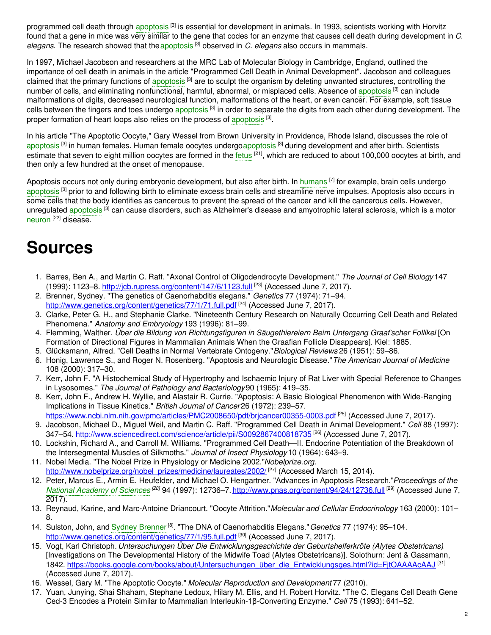programmed cell death through [apoptosis](https://embryo.asu.edu/search?text=apoptosis) <sup>[3]</sup> is essential for development in animals. In 1993, scientists working with Horvitz found that a gene in mice was very similar to the gene that codes for an enzyme that causes cell death during development in *C. elegans*. The research showed that the[apoptosis](https://embryo.asu.edu/search?text=apoptosis) [3] observed in *C. elegans* also occurs in mammals.

In 1997, Michael Jacobson and researchers at the MRC Lab of Molecular Biology in Cambridge, England, outlined the importance of cell death in animals in the article "Programmed Cell Death in Animal Development". Jacobson and colleagues claimed that the primary functions of [apoptosis](https://embryo.asu.edu/search?text=apoptosis) <sup>[3]</sup> are to sculpt the organism by deleting unwanted structures, controlling the number of cells, and eliminating nonfunctional, harmful, abnormal, or misplaced cells. Absence of [apoptosis](https://embryo.asu.edu/search?text=apoptosis) <sup>[3]</sup> can include malformations of digits, decreased neurological function, malformations of the heart, or even cancer. For example, soft tissue cells between the fingers and toes undergo [apoptosis](https://embryo.asu.edu/search?text=apoptosis) <sup>[3]</sup> in order to separate the digits from each other during development. The proper formation of heart loops also relies on the process of [apoptosis](https://embryo.asu.edu/search?text=apoptosis)<sup>[3]</sup>.

In his article "The Apoptotic Oocyte," Gary Wessel from Brown University in Providence, Rhode Island, discusses the role of [apoptosis](https://embryo.asu.edu/search?text=apoptosis) <sup>[3]</sup> in human females. Human female oocytes undergoapoptosis <sup>[3]</sup> during development and after birth. Scientists estimate that seven to eight million oocytes are formed in the [fetus](https://embryo.asu.edu/search?text=fetus) <sup>[21]</sup>, which are reduced to about 100,000 oocytes at birth, and then only a few hundred at the onset of menopause.

Apoptosis occurs not only during embryonic development, but also after birth. In [humans](https://embryo.asu.edu/search?text=humans) <sup>[7]</sup> for example, brain cells undergo [apoptosis](https://embryo.asu.edu/search?text=apoptosis) <sup>[3]</sup> prior to and following birth to eliminate excess brain cells and streamline nerve impulses. Apoptosis also occurs in some cells that the body identifies as cancerous to prevent the spread of the cancer and kill the cancerous cells. However, unregulated [apoptosis](https://embryo.asu.edu/search?text=apoptosis) <sup>[3]</sup> can cause disorders, such as Alzheimer's disease and amyotrophic lateral sclerosis, which is a motor [neuron](https://embryo.asu.edu/search?text=neuron) <sup>[22]</sup> disease.

# **Sources**

- 1. Barres, Ben A., and Martin C. Raff. "Axonal Control of Oligodendrocyte Development." *The Journal of Cell Biology* 147 (1999): 1123–8. <u><http://jcb.rupress.org/content/147/6/1123.full></u> <sup>[23]</sup> (Accessed June 7, 2017).
- 2. Brenner, Sydney. "The genetics of Caenorhabditis elegans." *Genetics* 77 (1974): 71–94. <http://www.genetics.org/content/genetics/77/1/71.full.pdf><sup>[24]</sup> (Accessed June 7, 2017).
- 3. Clarke, Peter G. H., and Stephanie Clarke. "Nineteenth Century Research on Naturally Occurring Cell Death and Related Phenomena." *Anatomy and Embryology* 193 (1996): 81–99.
- 4. Flemming, Walther. *Über die Bildung von Richtungsfiguren in Säugethiereiern Beim Untergang Graaf'scher Follike*.*l* [On Formation of Directional Figures in Mammalian Animals When the Graafian Follicle Disappears]. Kiel: 1885.
- 5. Glücksmann, Alfred. "Cell Deaths in Normal Vertebrate Ontogeny."*Biological Reviews* 26 (1951): 59–86.
- 6. Honig, Lawrence S., and Roger N. Rosenberg. "Apoptosis and Neurologic Disease."*The American Journal of Medicine* 108 (2000): 317–30.
- 7. Kerr, John F. "A Histochemical Study of Hypertrophy and Ischaemic Injury of Rat Liver with Special Reference to Changes in Lysosomes." *The Journal of Pathology and Bacteriology* 90 (1965): 419–35.
- 8. Kerr, John F., Andrew H. Wyllie, and Alastair R. Currie. "Apoptosis: A Basic Biological Phenomenon with Wide-Ranging Implications in Tissue Kinetics." *British Journal of Cancer* 26 (1972): 239–57.
- <https://www.ncbi.nlm.nih.gov/pmc/articles/PMC2008650/pdf/brjcancer00355-0003.pdf> <sup>[25]</sup> (Accessed June 7, 2017). 9. Jacobson, Michael D., Miguel Weil, and Martin C. Raff. "Programmed Cell Death in Animal Development." *Cell* 88 (1997): 347–54. <u><http://www.sciencedirect.com/science/article/pii/S0092867400818735></u> <sup>[26]</sup> (Accessed June 7, 2017).
- 10. Lockshin, Richard A., and Carroll M. Williams. "Programmed Cell Death—II. Endocrine Potentiation of the Breakdown of the Intersegmental Muscles of Silkmoths." *Journal of Insect Physiology* 10 (1964): 643–9.
- 11. Nobel Media. "The Nobel Prize in Physiology or Medicine 2002."*Nobelprize.org*. [http://www.nobelprize.org/nobel\\_prizes/medicine/laureates/2002/](http://www.nobelprize.org/nobel_prizes/medicine/laureates/2002/)<sup>[27]</sup> (Accessed March 15, 2014).
- 12. Peter, Marcus E., Armin E. Heufelder, and Michael O. Hengartner. "Advances in Apoptosis Research."*Proceedings of the* National [Academy](https://embryo.asu.edu/search?text=National%20Academy%20of%20Sciences) of Sciences<sup>[28]</sup> 94 (1997): 12736–7. <http://www.pnas.org/content/94/24/12736.full><sup>[29]</sup> (Accessed June 7, 2017).
- 13. Reynaud, Karine, and Marc-Antoine Driancourt. "Oocyte Attrition."*Molecular and Cellular Endocrinology* 163 (2000): 101– 8.
- 14. Sulston, John, and Sydney [Brenner](https://embryo.asu.edu/search?text=Sydney%20Brenner)<sup>[8]</sup>. "The DNA of Caenorhabditis Elegans." Genetics 77 (1974): 95–104. <http://www.genetics.org/content/genetics/77/1/95.full.pdf> <sup>[30]</sup> (Accessed June 7, 2017).
- 15. Vogt, Karl Christoph. *Untersuchungen Über Die Entwicklungsgeschichte der Geburtshelferkröte (Alytes Obstetricans)*. [Investigations on The Developmental History of the Midwife Toad (Alytes Obstetricans)]. Solothurn: Jent & Gassmann, 1842. [https://books.google.com/books/about/Untersuchungen\\_über\\_die\\_Entwicklungsges.html?id=FjtOAAAAcAAJ](https://books.google.com/books/about/Untersuchungen_%C3%BCber_die_Entwicklungsges.html?id=FjtOAAAAcAAJ) [31] (Accessed June 7, 2017).
- 16. Wessel, Gary M. "The Apoptotic Oocyte." *Molecular Reproduction and Development* 77 (2010).
- 17. Yuan, Junying, Shai Shaham, Stephane Ledoux, Hilary M. Ellis, and H. Robert Horvitz. "The C. Elegans Cell Death Gene Ced-3 Encodes a Protein Similar to Mammalian Interleukin-1β-Converting Enzyme." *Cell* 75 (1993): 641–52.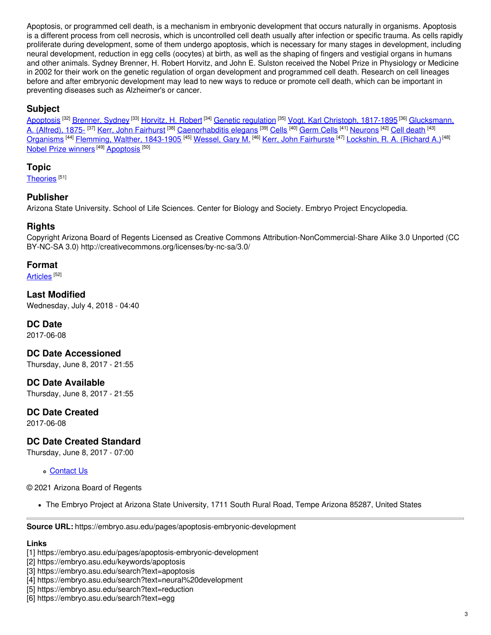Apoptosis, or programmed cell death, is a mechanism in embryonic development that occurs naturally in organisms. Apoptosis is a different process from cell necrosis, which is uncontrolled cell death usually after infection or specific trauma. As cells rapidly proliferate during development, some of them undergo apoptosis, which is necessary for many stages in development, including neural development, reduction in egg cells (oocytes) at birth, as well as the shaping of fingers and vestigial organs in humans and other animals. Sydney Brenner, H. Robert Horvitz, and John E. Sulston received the Nobel Prize in Physiology or Medicine in 2002 for their work on the genetic regulation of organ development and programmed cell death. Research on cell lineages before and after embryonic development may lead to new ways to reduce or promote cell death, which can be important in preventing diseases such as Alzheimer's or cancer.

### **Subject**

[Apoptosis](https://embryo.asu.edu/library-congress-subject-headings/apoptosis) <sup>[32]</sup> [Brenner,](https://embryo.asu.edu/library-congress-subject-headings/brenner-sydney) Sydney <sup>[33]</sup> [Horvitz,](https://embryo.asu.edu/library-congress-subject-headings/horvitz-h-robert) H. Robert <sup>[34]</sup> Genetic [regulation](https://embryo.asu.edu/library-congress-subject-headings/genetic-regulation) <sup>[35]</sup> Vogt, Karl Christoph, [1817-1895](https://embryo.asu.edu/library-congress-subject-headings/vogt-karl-christoph-1817-1895) <sup>[36]</sup> Glucksmann, A. (Alfred), 1875- <sup>[37]</sup> Kerr, John [Fairhurst](https://embryo.asu.edu/library-congress-subject-headings/kerr-john-fairhurst) <sup>[38]</sup> [Caenorhabditis](https://embryo.asu.edu/library-congress-subject-headings/glucksmann-alfred-1875) elegans <sup>[39]</sup> [Cells](https://embryo.asu.edu/library-congress-subject-headings/cells) <sup>[40]</sup> [Germ](https://embryo.asu.edu/library-congress-subject-headings/germ-cells) Cells <sup>[41]</sup> [Neurons](https://embryo.asu.edu/library-congress-subject-headings/neurons) <sup>[42]</sup> Cell [death](https://embryo.asu.edu/library-congress-subject-headings/cell-death) <sup>[43]</sup> [Organisms](https://embryo.asu.edu/library-congress-subject-headings/organisms) <sup>[44]</sup> Flemming, Walther, [1843-1905](https://embryo.asu.edu/library-congress-subject-headings/flemming-walther-1843-1905) <sup>[45]</sup> [Wessel,](https://embryo.asu.edu/library-congress-subject-headings/wessel-gary-m) Gary M. <sup>[46]</sup> Kerr, John [Fairhurste](https://embryo.asu.edu/library-congress-subject-headings/kerr-john-fairhurste) <sup>[47]</sup> [Lockshin,](https://embryo.asu.edu/library-congress-subject-headings/lockshin-r-richard) R. A. (Richard A.)<sup>[48]</sup> Nobel Prize [winners](https://embryo.asu.edu/library-congress-subject-headings/nobel-prize-winners)<sup>[49]</sup> [Apoptosis](https://embryo.asu.edu/medical-subject-headings/apoptosis)<sup>[50]</sup>

#### **Topic**

[Theories](https://embryo.asu.edu/topics/theories)<sup>[51]</sup>

#### **Publisher**

Arizona State University. School of Life Sciences. Center for Biology and Society. Embryo Project Encyclopedia.

#### **Rights**

Copyright Arizona Board of Regents Licensed as Creative Commons Attribution-NonCommercial-Share Alike 3.0 Unported (CC BY-NC-SA 3.0) http://creativecommons.org/licenses/by-nc-sa/3.0/

#### **Format**

[Articles](https://embryo.asu.edu/formats/articles) <sup>[52]</sup>

**Last Modified** Wednesday, July 4, 2018 - 04:40

#### **DC Date**

2017-06-08

**DC Date Accessioned** Thursday, June 8, 2017 - 21:55

**DC Date Available** Thursday, June 8, 2017 - 21:55

## **DC Date Created**

2017-06-08

### **DC Date Created Standard**

Thursday, June 8, 2017 - 07:00

**[Contact](https://embryo.asu.edu/contact) Us** 

© 2021 Arizona Board of Regents

The Embryo Project at Arizona State University, 1711 South Rural Road, Tempe Arizona 85287, United States

**Source URL:** https://embryo.asu.edu/pages/apoptosis-embryonic-development

#### **Links**

<sup>[1]</sup> https://embryo.asu.edu/pages/apoptosis-embryonic-development

<sup>[2]</sup> https://embryo.asu.edu/keywords/apoptosis

<sup>[3]</sup> https://embryo.asu.edu/search?text=apoptosis

<sup>[4]</sup> https://embryo.asu.edu/search?text=neural%20development

<sup>[5]</sup> https://embryo.asu.edu/search?text=reduction

<sup>[6]</sup> https://embryo.asu.edu/search?text=egg